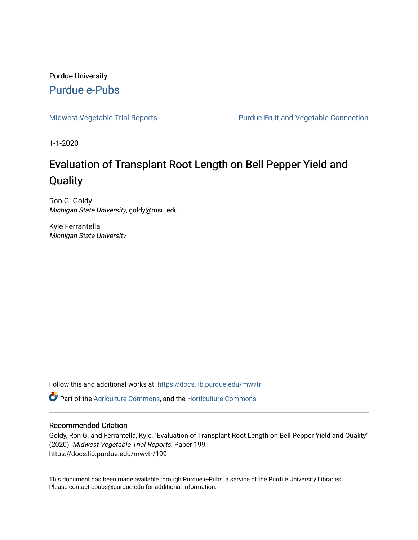#### Purdue University [Purdue e-Pubs](https://docs.lib.purdue.edu/)

[Midwest Vegetable Trial Reports](https://docs.lib.purdue.edu/mwvtr) **Purdue Fruit and Vegetable Connection** 

1-1-2020

## Evaluation of Transplant Root Length on Bell Pepper Yield and **Quality**

Ron G. Goldy Michigan State University, goldy@msu.edu

Kyle Ferrantella Michigan State University

Follow this and additional works at: [https://docs.lib.purdue.edu/mwvtr](https://docs.lib.purdue.edu/mwvtr?utm_source=docs.lib.purdue.edu%2Fmwvtr%2F199&utm_medium=PDF&utm_campaign=PDFCoverPages) 

Part of the [Agriculture Commons](http://network.bepress.com/hgg/discipline/1076?utm_source=docs.lib.purdue.edu%2Fmwvtr%2F199&utm_medium=PDF&utm_campaign=PDFCoverPages), and the [Horticulture Commons](http://network.bepress.com/hgg/discipline/105?utm_source=docs.lib.purdue.edu%2Fmwvtr%2F199&utm_medium=PDF&utm_campaign=PDFCoverPages) 

#### Recommended Citation

Goldy, Ron G. and Ferrantella, Kyle, "Evaluation of Transplant Root Length on Bell Pepper Yield and Quality" (2020). Midwest Vegetable Trial Reports. Paper 199. https://docs.lib.purdue.edu/mwvtr/199

This document has been made available through Purdue e-Pubs, a service of the Purdue University Libraries. Please contact epubs@purdue.edu for additional information.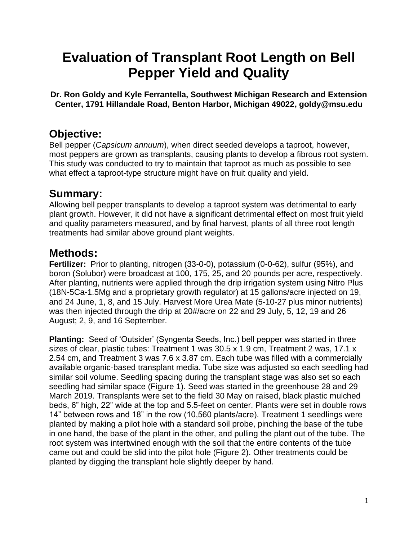# **Evaluation of Transplant Root Length on Bell Pepper Yield and Quality**

**Dr. Ron Goldy and Kyle Ferrantella, Southwest Michigan Research and Extension Center, 1791 Hillandale Road, Benton Harbor, Michigan 49022, [goldy@msu.edu](mailto:goldy@msu.edu)** 

#### **Objective:**

 This study was conducted to try to maintain that taproot as much as possible to see Bell pepper (*Capsicum annuum*), when direct seeded develops a taproot, however, most peppers are grown as transplants, causing plants to develop a fibrous root system. what effect a taproot-type structure might have on fruit quality and yield.

### **Summary:**

Allowing bell pepper transplants to develop a taproot system was detrimental to early plant growth. However, it did not have a significant detrimental effect on most fruit yield and quality parameters measured, and by final harvest, plants of all three root length treatments had similar above ground plant weights.

## **Methods:**

 **Fertilizer:** Prior to planting, nitrogen (33-0-0), potassium (0-0-62), sulfur (95%), and was then injected through the drip at 20#/acre on 22 and 29 July, 5, 12, 19 and 26 boron (Solubor) were broadcast at 100, 175, 25, and 20 pounds per acre, respectively. After planting, nutrients were applied through the drip irrigation system using Nitro Plus (18N-5Ca-1.5Mg and a proprietary growth regulator) at 15 gallons/acre injected on 19, and 24 June, 1, 8, and 15 July. Harvest More Urea Mate (5-10-27 plus minor nutrients) August; 2, 9, and 16 September.

 **Planting:** Seed of 'Outsider' (Syngenta Seeds, Inc.) bell pepper was started in three similar soil volume. Seedling spacing during the transplant stage was also set so each came out and could be slid into the pilot hole (Figure 2). Other treatments could be planted by digging the transplant hole slightly deeper by hand. sizes of clear, plastic tubes: Treatment 1 was 30.5 x 1.9 cm, Treatment 2 was, 17.1 x 2.54 cm, and Treatment 3 was 7.6 x 3.87 cm. Each tube was filled with a commercially available organic-based transplant media. Tube size was adjusted so each seedling had seedling had similar space (Figure 1). Seed was started in the greenhouse 28 and 29 March 2019. Transplants were set to the field 30 May on raised, black plastic mulched beds, 6" high, 22" wide at the top and 5.5-feet on center. Plants were set in double rows 14" between rows and 18" in the row (10,560 plants/acre). Treatment 1 seedlings were planted by making a pilot hole with a standard soil probe, pinching the base of the tube in one hand, the base of the plant in the other, and pulling the plant out of the tube. The root system was intertwined enough with the soil that the entire contents of the tube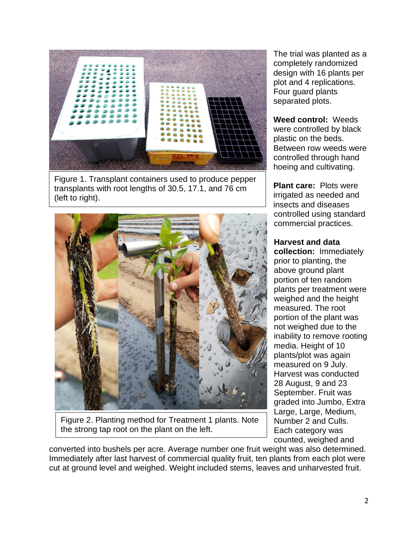

Figure 1. Transplant containers used to produce pepper transplants with root lengths of 30.5, 17.1, and 76 cm (left to right).



 Figure 2. Planting method for Treatment 1 plants. Note the strong tap root on the plant on the left.

The trial was planted as a completely randomized design with 16 plants per plot and 4 replications. Four guard plants separated plots.

**Weed control:** Weeds were controlled by black plastic on the beds. Between row weeds were controlled through hand hoeing and cultivating.

**Plant care:** Plots were irrigated as needed and insects and diseases controlled using standard commercial practices.

#### **Harvest and data**

 counted, weighed and **collection:** Immediately prior to planting, the above ground plant portion of ten random plants per treatment were weighed and the height measured. The root portion of the plant was not weighed due to the inability to remove rooting media. Height of 10 plants/plot was again measured on 9 July. Harvest was conducted 28 August, 9 and 23 September. Fruit was graded into Jumbo, Extra Large, Large, Medium, Number 2 and Culls. Each category was

converted into bushels per acre. Average number one fruit weight was also determined. Immediately after last harvest of commercial quality fruit, ten plants from each plot were cut at ground level and weighed. Weight included stems, leaves and unharvested fruit.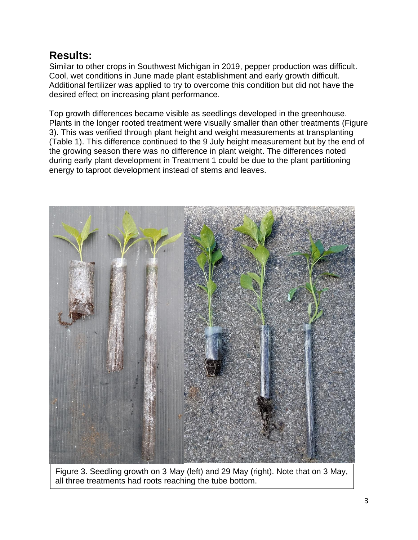#### **Results:**

 Additional fertilizer was applied to try to overcome this condition but did not have the Similar to other crops in Southwest Michigan in 2019, pepper production was difficult. Cool, wet conditions in June made plant establishment and early growth difficult. desired effect on increasing plant performance.

Top growth differences became visible as seedlings developed in the greenhouse. Plants in the longer rooted treatment were visually smaller than other treatments (Figure 3). This was verified through plant height and weight measurements at transplanting (Table 1). This difference continued to the 9 July height measurement but by the end of the growing season there was no difference in plant weight. The differences noted during early plant development in Treatment 1 could be due to the plant partitioning energy to taproot development instead of stems and leaves.



Figure 3. Seedling growth on 3 May (left) and 29 May (right). Note that on 3 May, all three treatments had roots reaching the tube bottom.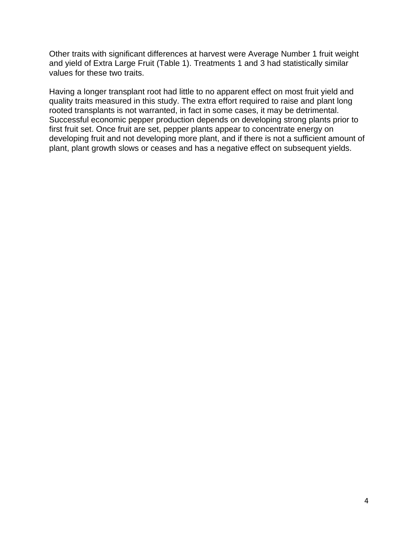and yield of Extra Large Fruit (Table 1). Treatments 1 and 3 had statistically similar Other traits with significant differences at harvest were Average Number 1 fruit weight values for these two traits.

 first fruit set. Once fruit are set, pepper plants appear to concentrate energy on Having a longer transplant root had little to no apparent effect on most fruit yield and quality traits measured in this study. The extra effort required to raise and plant long rooted transplants is not warranted, in fact in some cases, it may be detrimental. Successful economic pepper production depends on developing strong plants prior to developing fruit and not developing more plant, and if there is not a sufficient amount of plant, plant growth slows or ceases and has a negative effect on subsequent yields.